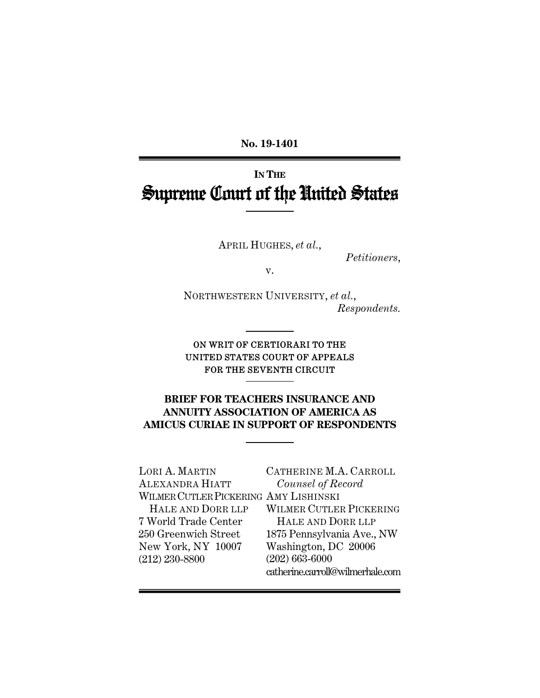**No. 19-1401** 

# **IN THE** Supreme Court of the United States

APRIL HUGHES, *et al.*,

*Petitioners*,

v.

NORTHWESTERN UNIVERSITY, *et al.*, *Respondents.* 

### ON WRIT OF CERTIORARI TO THE UNITED STATES COURT OF APPEALS FOR THE SEVENTH CIRCUIT

## **BRIEF FOR TEACHERS INSURANCE AND ANNUITY ASSOCIATION OF AMERICA AS AMICUS CURIAE IN SUPPORT OF RESPONDENTS**

LORI A. MARTIN ALEXANDRA HIATT WILMER CUTLER PICKERING AMY LISHINSKI HALE AND DORR LLP 7 World Trade Center 250 Greenwich Street New York, NY 10007 (212) 230-8800 CATHERINE M.A. CARROLL *Counsel of Record* WILMER CUTLER PICKERING HALE AND DORR LLP 1875 Pennsylvania Ave., NW Washington, DC 20006 (202) 663-6000 catherine.carroll@wilmerhale.com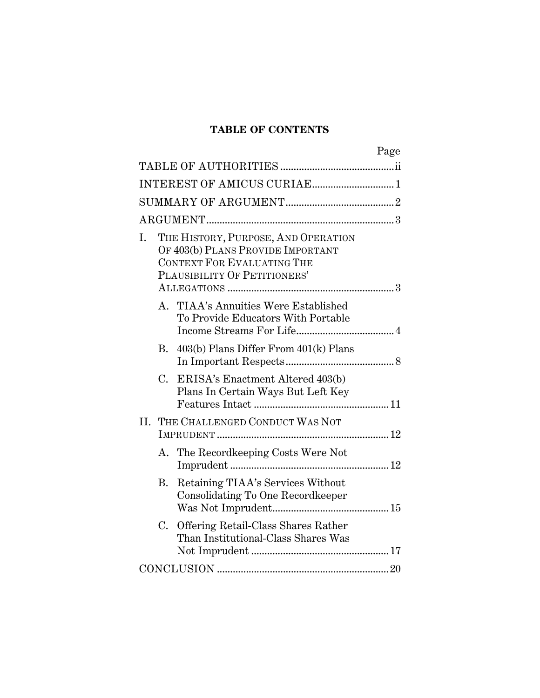# **TABLE OF CONTENTS**

|             | Page                                                                                                                                   |
|-------------|----------------------------------------------------------------------------------------------------------------------------------------|
|             |                                                                                                                                        |
|             |                                                                                                                                        |
|             |                                                                                                                                        |
|             |                                                                                                                                        |
| I.          | THE HISTORY, PURPOSE, AND OPERATION<br>OF 403(b) PLANS PROVIDE IMPORTANT<br>CONTEXT FOR EVALUATING THE<br>PLAUSIBILITY OF PETITIONERS' |
|             | A. TIAA's Annuities Were Established<br>To Provide Educators With Portable                                                             |
|             | 403(b) Plans Differ From 401(k) Plans<br>В.                                                                                            |
| $C_{\cdot}$ | ERISA's Enactment Altered 403(b)<br>Plans In Certain Ways But Left Key                                                                 |
|             | II. THE CHALLENGED CONDUCT WAS NOT                                                                                                     |
|             | The Recordkeeping Costs Were Not<br>А.                                                                                                 |
| <b>B.</b>   | Retaining TIAA's Services Without<br>Consolidating To One Recordkeeper                                                                 |
|             | C.<br>Offering Retail-Class Shares Rather<br>Than Institutional-Class Shares Was                                                       |
|             |                                                                                                                                        |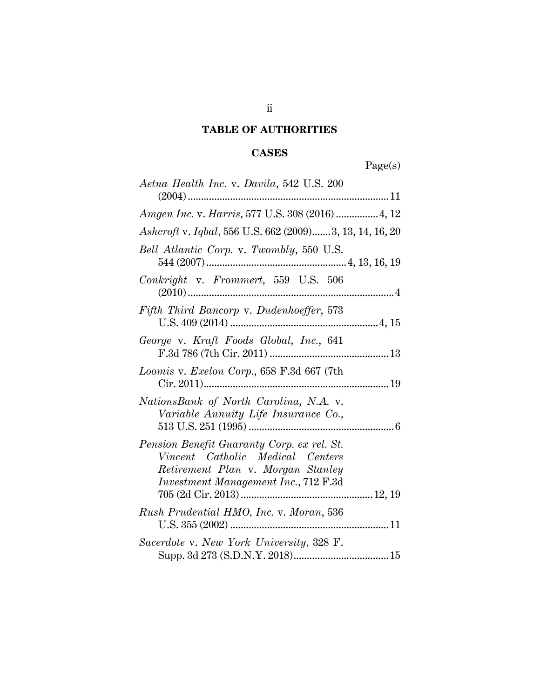# **TABLE OF AUTHORITIES**

# **CASES**

Page(s)

| Aetna Health Inc. v. Davila, 542 U.S. 200                                                                                                                   |
|-------------------------------------------------------------------------------------------------------------------------------------------------------------|
|                                                                                                                                                             |
| Amgen Inc. v. Harris, 577 U.S. 308 (2016)  4, 12                                                                                                            |
| Ashcroft v. Iqbal, 556 U.S. 662 (2009)3, 13, 14, 16, 20                                                                                                     |
| Bell Atlantic Corp. v. Twombly, 550 U.S.                                                                                                                    |
| Conkright v. Frommert, 559 U.S. 506                                                                                                                         |
| Fifth Third Bancorp v. Dudenhoeffer, 573                                                                                                                    |
| George v. Kraft Foods Global, Inc., 641                                                                                                                     |
| Loomis v. Exelon Corp., 658 F.3d 667 (7th                                                                                                                   |
| NationsBank of North Carolina, N.A. v.<br>Variable Annuity Life Insurance Co.,                                                                              |
| Pension Benefit Guaranty Corp. ex rel. St.<br>Vincent Catholic Medical Centers<br>Retirement Plan v. Morgan Stanley<br>Investment Management Inc., 712 F.3d |
| Rush Prudential HMO, Inc. v. Moran, 536                                                                                                                     |
| Sacerdote v. New York University, 328 F.                                                                                                                    |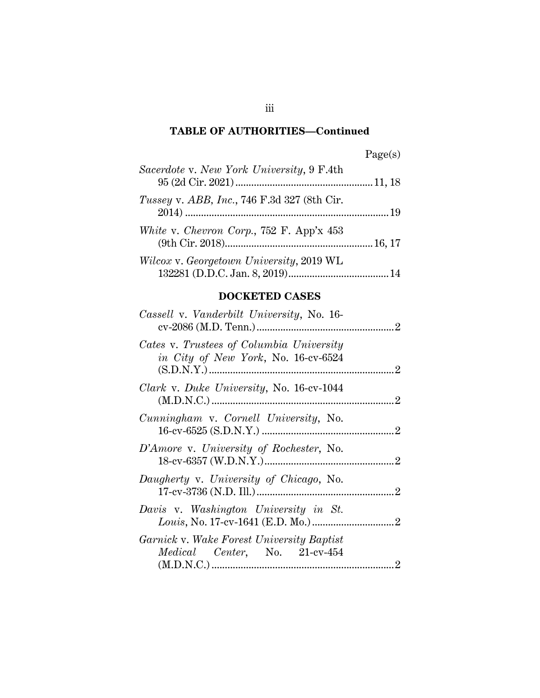| age(s |
|-------|
|-------|

| Sacerdote v. New York University, 9 F.4th   |  |
|---------------------------------------------|--|
| Tussey v. ABB, Inc., 746 F.3d 327 (8th Cir. |  |
| White v. Chevron Corp., 752 F. App'x 453    |  |
| Wilcox v. Georgetown University, 2019 WL    |  |

## **DOCKETED CASES**

| Cassell v. Vanderbilt University, No. 16-                                         |  |
|-----------------------------------------------------------------------------------|--|
| Cates v. Trustees of Columbia University<br>in City of New York, No. 16-cv-6524   |  |
| Clark v. Duke University, No. 16-cv-1044                                          |  |
| Cunningham v. Cornell University, No.                                             |  |
| D'Amore v. University of Rochester, No.                                           |  |
| Daugherty v. University of Chicago, No.                                           |  |
| Davis v. Washington University in St.                                             |  |
| <i>Garnick v. Wake Forest University Baptist</i><br>Medical Center, No. 21-cv-454 |  |
|                                                                                   |  |

iii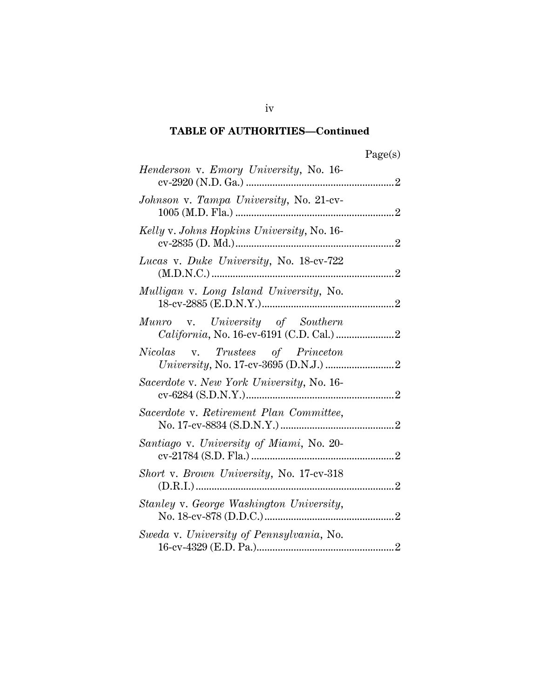| яœ<br>J. |
|----------|
|----------|

| <i>Henderson v. Emory University, No.</i> 16- |
|-----------------------------------------------|
| Johnson v. Tampa University, No. 21-cv-       |
| Kelly v. Johns Hopkins University, No. 16-    |
| Lucas v. Duke University, No. 18-cv-722       |
| Mulligan v. Long Island University, No.       |
| Munro v. University of Southern               |
| Nicolas v. Trustees of Princeton              |
| Sacerdote v. New York University, No. 16-     |
| Sacerdote v. Retirement Plan Committee,       |
| Santiago v. University of Miami, No. 20-      |
| Short v. Brown University, No. 17-cv-318      |
| Stanley v. George Washington University,      |
| Sweda v. University of Pennsylvania, No.      |
|                                               |

iv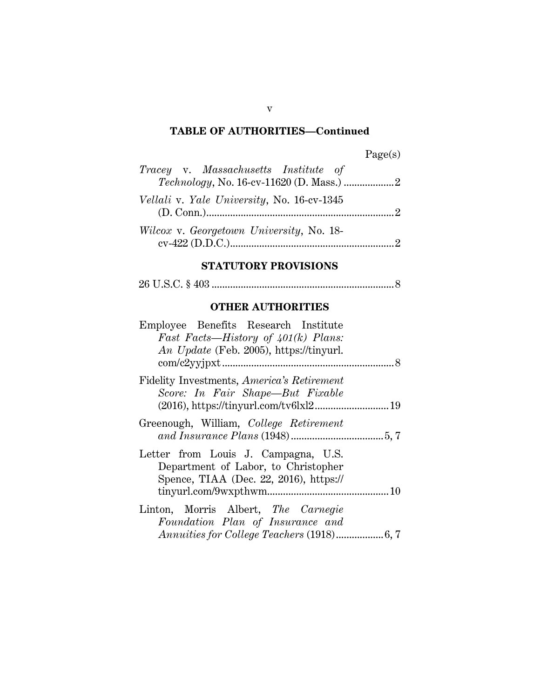| age<br>м<br>s |
|---------------|
|---------------|

| Tracey v. Massachusetts Institute of       |  |
|--------------------------------------------|--|
|                                            |  |
| Vellali v. Yale University, No. 16-cv-1345 |  |
| Wilcox v. Georgetown University, No. 18-   |  |
|                                            |  |

# **STATUTORY PROVISIONS**

26 U.S.C. § 403 ..................................................................... 8

# **OTHER AUTHORITIES**

| Employee Benefits Research Institute                                                                                 |
|----------------------------------------------------------------------------------------------------------------------|
| <i>Fast Facts—History of <math>401(k)</math> Plans:</i><br>An Update (Feb. 2005), https://tinyurl.                   |
| Fidelity Investments, <i>America's Retirement</i><br>Score: In Fair Shape—But Fixable                                |
| Greenough, William, College Retirement                                                                               |
| Letter from Louis J. Campagna, U.S.<br>Department of Labor, to Christopher<br>Spence, TIAA (Dec. 22, 2016), https:// |
| Linton, Morris Albert, The Carnegie<br>Foundation Plan of Insurance and                                              |
|                                                                                                                      |

#### v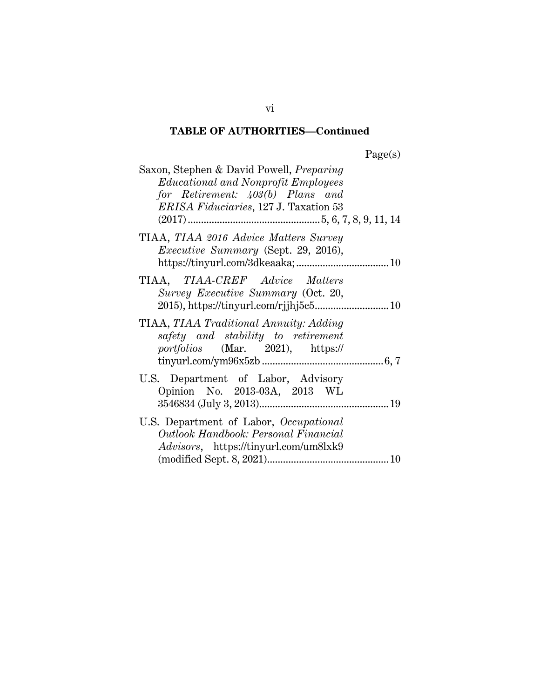| Saxon, Stephen & David Powell, <i>Preparing</i> |
|-------------------------------------------------|
| <i>Educational and Nonprofit Employees</i>      |
| for Retirement: 403(b) Plans and                |
| <i>ERISA Fiduciaries</i> , 127 J. Taxation 53   |
|                                                 |
| TIAA, TIAA 2016 Advice Matters Survey           |
| <i>Executive Summary</i> (Sept. 29, 2016),      |
|                                                 |
| TIAA, TIAA-CREF Advice Matters                  |
| Survey Executive Summary (Oct. 20,              |
| 2015), https://tinyurl.com/rjjhj5c5 10          |
|                                                 |
| TIAA, TIAA Traditional Annuity: Adding          |
| safety and stability to retirement              |
| portfolios (Mar. 2021), https://                |
|                                                 |
| U.S. Department of Labor, Advisory              |
| Opinion No. 2013-03A, 2013 WL                   |
|                                                 |
|                                                 |
| U.S. Department of Labor, Occupational          |
| Outlook Handbook: Personal Financial            |
| <i>Advisors</i> , https://tinyurl.com/um8lxk9   |
|                                                 |

vi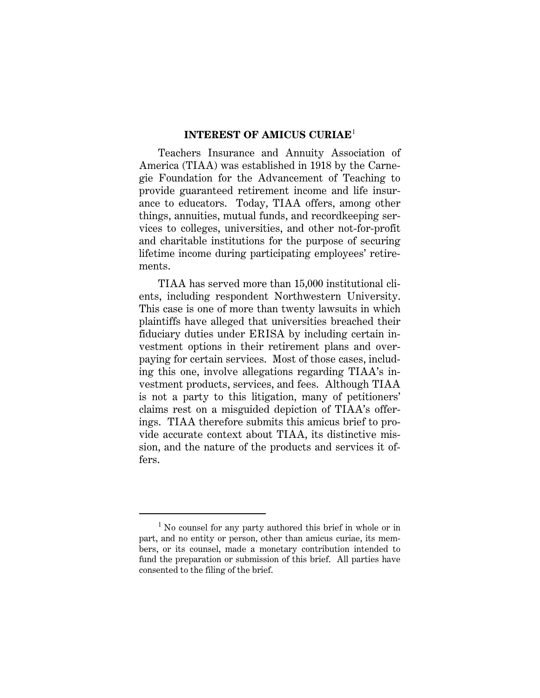#### **INTEREST OF AMICUS CURIAE**<sup>1</sup>

Teachers Insurance and Annuity Association of America (TIAA) was established in 1918 by the Carnegie Foundation for the Advancement of Teaching to provide guaranteed retirement income and life insurance to educators. Today, TIAA offers, among other things, annuities, mutual funds, and recordkeeping services to colleges, universities, and other not-for-profit and charitable institutions for the purpose of securing lifetime income during participating employees' retirements.

TIAA has served more than 15,000 institutional clients, including respondent Northwestern University. This case is one of more than twenty lawsuits in which plaintiffs have alleged that universities breached their fiduciary duties under ERISA by including certain investment options in their retirement plans and overpaying for certain services. Most of those cases, including this one, involve allegations regarding TIAA's investment products, services, and fees. Although TIAA is not a party to this litigation, many of petitioners' claims rest on a misguided depiction of TIAA's offerings. TIAA therefore submits this amicus brief to provide accurate context about TIAA, its distinctive mission, and the nature of the products and services it offers.

<sup>&</sup>lt;sup>1</sup> No counsel for any party authored this brief in whole or in part, and no entity or person, other than amicus curiae, its members, or its counsel, made a monetary contribution intended to fund the preparation or submission of this brief. All parties have consented to the filing of the brief.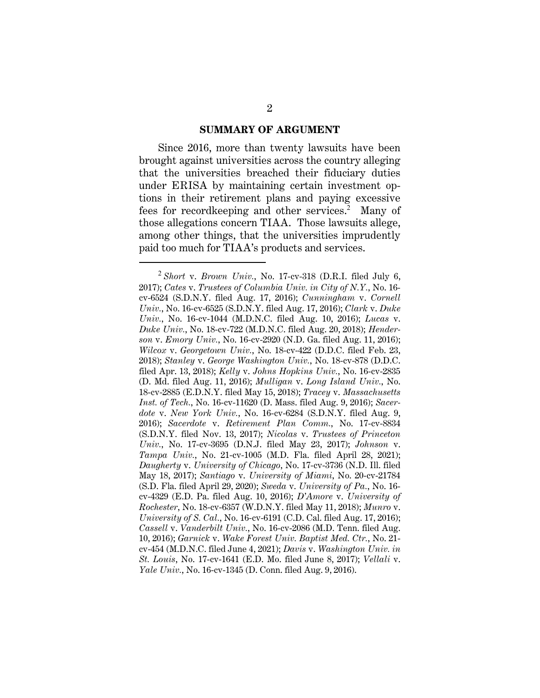#### **SUMMARY OF ARGUMENT**

Since 2016, more than twenty lawsuits have been brought against universities across the country alleging that the universities breached their fiduciary duties under ERISA by maintaining certain investment options in their retirement plans and paying excessive fees for recordkeeping and other services.<sup>2</sup> Many of those allegations concern TIAA. Those lawsuits allege, among other things, that the universities imprudently paid too much for TIAA's products and services.

<sup>2</sup> *Short* v. *Brown Univ.*, No. 17-cv-318 (D.R.I. filed July 6, 2017); *Cates* v. *Trustees of Columbia Univ. in City of N.Y.*, No. 16 cv-6524 (S.D.N.Y. filed Aug. 17, 2016); *Cunningham* v. *Cornell Univ.*, No. 16-cv-6525 (S.D.N.Y. filed Aug. 17, 2016); *Clark* v. *Duke Univ.*, No. 16-cv-1044 (M.D.N.C. filed Aug. 10, 2016); *Lucas* v. *Duke Univ.*, No. 18-cv-722 (M.D.N.C. filed Aug. 20, 2018); *Henderson* v. *Emory Univ.*, No. 16-cv-2920 (N.D. Ga. filed Aug. 11, 2016); *Wilcox* v. *Georgetown Univ.*, No. 18-cv-422 (D.D.C. filed Feb. 23, 2018); *Stanley* v. *George Washington Univ.*, No. 18-cv-878 (D.D.C. filed Apr. 13, 2018); *Kelly* v. *Johns Hopkins Univ.*, No. 16-cv-2835 (D. Md. filed Aug. 11, 2016); *Mulligan* v. *Long Island Univ.*, No. 18-cv-2885 (E.D.N.Y. filed May 15, 2018); *Tracey* v. *Massachusetts Inst. of Tech.*, No. 16-cv-11620 (D. Mass. filed Aug. 9, 2016); *Sacerdote* v. *New York Univ.*, No. 16-cv-6284 (S.D.N.Y. filed Aug. 9, 2016); *Sacerdote* v. *Retirement Plan Comm.*, No. 17-cv-8834 (S.D.N.Y. filed Nov. 13, 2017); *Nicolas* v. *Trustees of Princeton Univ.*, No. 17-cv-3695 (D.N.J. filed May 23, 2017); *Johnson* v. *Tampa Univ.*, No. 21-cv-1005 (M.D. Fla. filed April 28, 2021); *Daugherty* v. *University of Chicago*, No. 17-cv-3736 (N.D. Ill. filed May 18, 2017); *Santiago* v. *University of Miami*, No. 20-cv-21784 (S.D. Fla. filed April 29, 2020); *Sweda* v. *University of Pa.*, No. 16 cv-4329 (E.D. Pa. filed Aug. 10, 2016); *D'Amore* v. *University of Rochester*, No. 18-cv-6357 (W.D.N.Y. filed May 11, 2018); *Munro* v. *University of S. Cal.*, No. 16-cv-6191 (C.D. Cal. filed Aug. 17, 2016); *Cassell* v. *Vanderbilt Univ.*, No. 16-cv-2086 (M.D. Tenn. filed Aug. 10, 2016); *Garnick* v. *Wake Forest Univ. Baptist Med. Ctr.*, No. 21 cv-454 (M.D.N.C. filed June 4, 2021); *Davis* v. *Washington Univ. in St. Louis*, No. 17-cv-1641 (E.D. Mo. filed June 8, 2017); *Vellali* v. *Yale Univ.*, No. 16-cv-1345 (D. Conn. filed Aug. 9, 2016).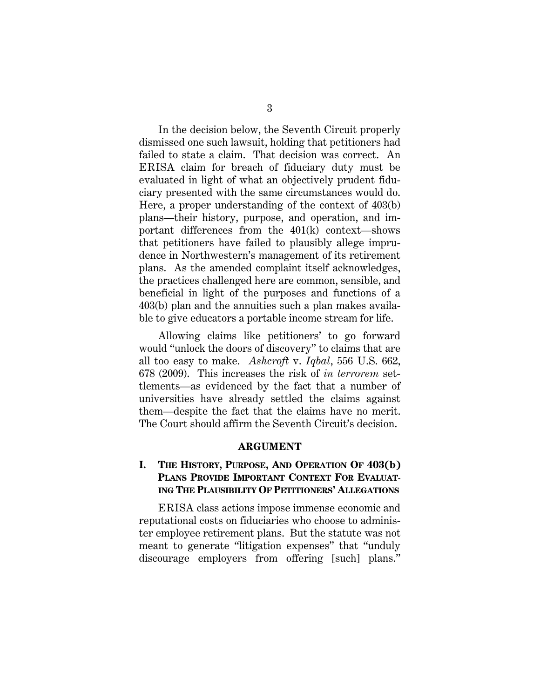In the decision below, the Seventh Circuit properly dismissed one such lawsuit, holding that petitioners had failed to state a claim. That decision was correct. An ERISA claim for breach of fiduciary duty must be evaluated in light of what an objectively prudent fiduciary presented with the same circumstances would do. Here, a proper understanding of the context of 403(b) plans—their history, purpose, and operation, and important differences from the 401(k) context—shows that petitioners have failed to plausibly allege imprudence in Northwestern's management of its retirement plans. As the amended complaint itself acknowledges, the practices challenged here are common, sensible, and beneficial in light of the purposes and functions of a 403(b) plan and the annuities such a plan makes available to give educators a portable income stream for life.

Allowing claims like petitioners' to go forward would "unlock the doors of discovery" to claims that are all too easy to make. *Ashcroft* v. *Iqbal*, 556 U.S. 662, 678 (2009). This increases the risk of *in terrorem* settlements—as evidenced by the fact that a number of universities have already settled the claims against them—despite the fact that the claims have no merit. The Court should affirm the Seventh Circuit's decision.

#### **ARGUMENT**

### **I. THE HISTORY, PURPOSE, AND OPERATION OF 403(b) PLANS PROVIDE IMPORTANT CONTEXT FOR EVALUAT-ING THE PLAUSIBILITY OF PETITIONERS' ALLEGATIONS**

ERISA class actions impose immense economic and reputational costs on fiduciaries who choose to administer employee retirement plans. But the statute was not meant to generate "litigation expenses" that "unduly discourage employers from offering [such] plans."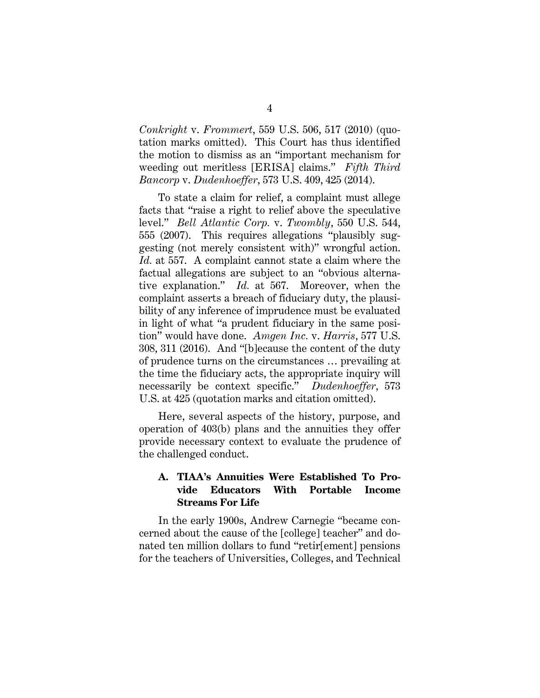*Conkright* v. *Frommert*, 559 U.S. 506, 517 (2010) (quotation marks omitted). This Court has thus identified the motion to dismiss as an "important mechanism for weeding out meritless [ERISA] claims." *Fifth Third Bancorp* v. *Dudenhoeffer*, 573 U.S. 409, 425 (2014).

To state a claim for relief, a complaint must allege facts that "raise a right to relief above the speculative level." *Bell Atlantic Corp.* v. *Twombly*, 550 U.S. 544, 555 (2007). This requires allegations "plausibly suggesting (not merely consistent with)" wrongful action. *Id.* at 557. A complaint cannot state a claim where the factual allegations are subject to an "obvious alternative explanation." *Id.* at 567. Moreover, when the complaint asserts a breach of fiduciary duty, the plausibility of any inference of imprudence must be evaluated in light of what "a prudent fiduciary in the same position" would have done. *Amgen Inc.* v. *Harris*, 577 U.S. 308, 311 (2016). And "[b]ecause the content of the duty of prudence turns on the circumstances … prevailing at the time the fiduciary acts, the appropriate inquiry will necessarily be context specific." *Dudenhoeffer*, 573 U.S. at 425 (quotation marks and citation omitted).

Here, several aspects of the history, purpose, and operation of 403(b) plans and the annuities they offer provide necessary context to evaluate the prudence of the challenged conduct.

### **A. TIAA's Annuities Were Established To Provide Educators With Portable Income Streams For Life**

In the early 1900s, Andrew Carnegie "became concerned about the cause of the [college] teacher" and donated ten million dollars to fund "retir[ement] pensions for the teachers of Universities, Colleges, and Technical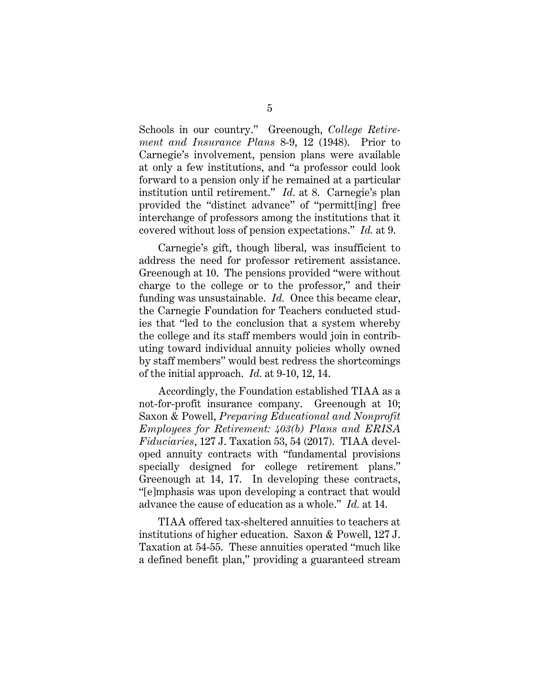Schools in our country." Greenough, *College Retirement and Insurance Plans* 8-9, 12 (1948). Prior to Carnegie's involvement, pension plans were available at only a few institutions, and "a professor could look forward to a pension only if he remained at a particular institution until retirement." *Id.* at 8. Carnegie's plan provided the "distinct advance" of "permitt[ing] free interchange of professors among the institutions that it covered without loss of pension expectations." *Id.* at 9.

Carnegie's gift, though liberal, was insufficient to address the need for professor retirement assistance. Greenough at 10. The pensions provided "were without charge to the college or to the professor," and their funding was unsustainable. *Id.* Once this became clear, the Carnegie Foundation for Teachers conducted studies that "led to the conclusion that a system whereby the college and its staff members would join in contributing toward individual annuity policies wholly owned by staff members" would best redress the shortcomings of the initial approach. *Id.* at 9-10, 12, 14.

Accordingly, the Foundation established TIAA as a not-for-profit insurance company. Greenough at 10; Saxon & Powell, *Preparing Educational and Nonprofit Employees for Retirement: 403(b) Plans and ERISA Fiduciaries*, 127 J. Taxation 53, 54 (2017). TIAA developed annuity contracts with "fundamental provisions specially designed for college retirement plans." Greenough at 14, 17. In developing these contracts, "[e]mphasis was upon developing a contract that would advance the cause of education as a whole." *Id.* at 14.

TIAA offered tax-sheltered annuities to teachers at institutions of higher education. Saxon & Powell, 127 J. Taxation at 54-55. These annuities operated "much like a defined benefit plan," providing a guaranteed stream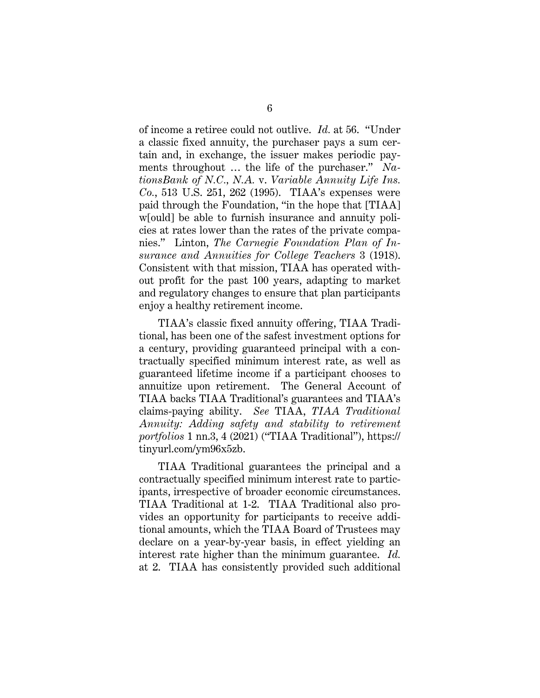of income a retiree could not outlive. *Id.* at 56. "Under a classic fixed annuity, the purchaser pays a sum certain and, in exchange, the issuer makes periodic payments throughout … the life of the purchaser." *NationsBank of N.C., N.A.* v. *Variable Annuity Life Ins. Co.*, 513 U.S. 251, 262 (1995). TIAA's expenses were paid through the Foundation, "in the hope that [TIAA] w[ould] be able to furnish insurance and annuity policies at rates lower than the rates of the private companies." Linton, *The Carnegie Foundation Plan of Insurance and Annuities for College Teachers* 3 (1918). Consistent with that mission, TIAA has operated without profit for the past 100 years, adapting to market and regulatory changes to ensure that plan participants enjoy a healthy retirement income.

TIAA's classic fixed annuity offering, TIAA Traditional, has been one of the safest investment options for a century, providing guaranteed principal with a contractually specified minimum interest rate, as well as guaranteed lifetime income if a participant chooses to annuitize upon retirement. The General Account of TIAA backs TIAA Traditional's guarantees and TIAA's claims-paying ability. *See* TIAA, *TIAA Traditional Annuity: Adding safety and stability to retirement portfolios* 1 nn.3, 4 (2021) ("TIAA Traditional"), https:// tinyurl.com/ym96x5zb.

TIAA Traditional guarantees the principal and a contractually specified minimum interest rate to participants, irrespective of broader economic circumstances. TIAA Traditional at 1-2. TIAA Traditional also provides an opportunity for participants to receive additional amounts, which the TIAA Board of Trustees may declare on a year-by-year basis, in effect yielding an interest rate higher than the minimum guarantee. *Id.* at 2. TIAA has consistently provided such additional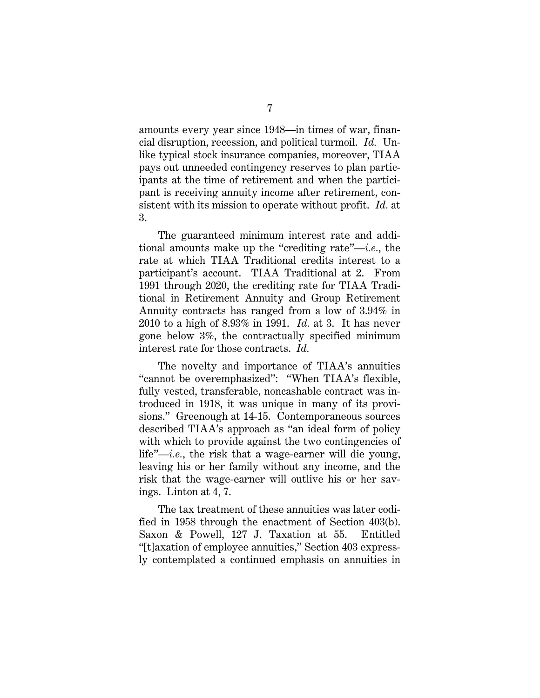amounts every year since 1948—in times of war, financial disruption, recession, and political turmoil. *Id.* Unlike typical stock insurance companies, moreover, TIAA pays out unneeded contingency reserves to plan participants at the time of retirement and when the participant is receiving annuity income after retirement, consistent with its mission to operate without profit. *Id.* at 3.

The guaranteed minimum interest rate and additional amounts make up the "crediting rate"—*i.e.*, the rate at which TIAA Traditional credits interest to a participant's account. TIAA Traditional at 2. From 1991 through 2020, the crediting rate for TIAA Traditional in Retirement Annuity and Group Retirement Annuity contracts has ranged from a low of 3.94% in 2010 to a high of 8.93% in 1991. *Id.* at 3. It has never gone below 3%, the contractually specified minimum interest rate for those contracts. *Id.*

The novelty and importance of TIAA's annuities "cannot be overemphasized": "When TIAA's flexible, fully vested, transferable, noncashable contract was introduced in 1918, it was unique in many of its provisions." Greenough at 14-15. Contemporaneous sources described TIAA's approach as "an ideal form of policy with which to provide against the two contingencies of life"—*i.e.*, the risk that a wage-earner will die young, leaving his or her family without any income, and the risk that the wage-earner will outlive his or her savings. Linton at 4, 7.

The tax treatment of these annuities was later codified in 1958 through the enactment of Section 403(b). Saxon & Powell, 127 J. Taxation at 55. Entitled "[t]axation of employee annuities," Section 403 expressly contemplated a continued emphasis on annuities in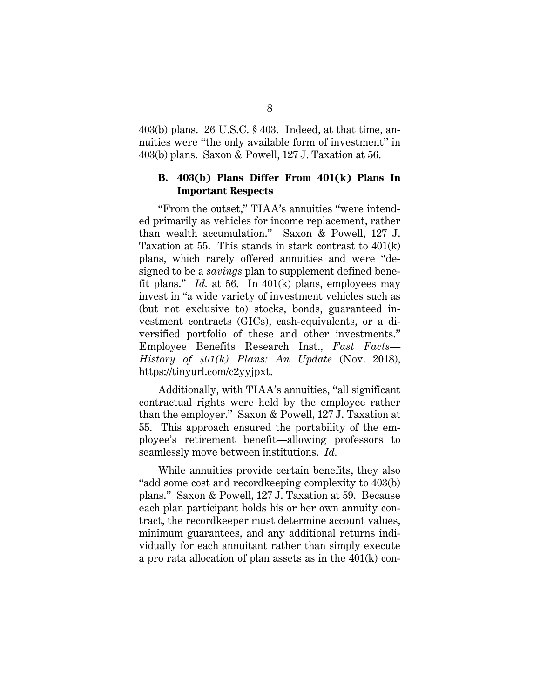403(b) plans. 26 U.S.C. § 403. Indeed, at that time, annuities were "the only available form of investment" in 403(b) plans. Saxon & Powell, 127 J. Taxation at 56.

### **B. 403(b) Plans Differ From 401(k) Plans In Important Respects**

"From the outset," TIAA's annuities "were intended primarily as vehicles for income replacement, rather than wealth accumulation." Saxon & Powell, 127 J. Taxation at 55. This stands in stark contrast to 401(k) plans, which rarely offered annuities and were "designed to be a *savings* plan to supplement defined benefit plans." *Id.* at 56. In 401(k) plans, employees may invest in "a wide variety of investment vehicles such as (but not exclusive to) stocks, bonds, guaranteed investment contracts (GICs), cash-equivalents, or a diversified portfolio of these and other investments." Employee Benefits Research Inst., *Fast Facts— History of 401(k) Plans: An Update* (Nov. 2018), https://tinyurl.com/c2yyjpxt.

Additionally, with TIAA's annuities, "all significant contractual rights were held by the employee rather than the employer." Saxon & Powell, 127 J. Taxation at 55. This approach ensured the portability of the employee's retirement benefit—allowing professors to seamlessly move between institutions. *Id.*

While annuities provide certain benefits, they also "add some cost and recordkeeping complexity to 403(b) plans." Saxon & Powell, 127 J. Taxation at 59. Because each plan participant holds his or her own annuity contract, the recordkeeper must determine account values, minimum guarantees, and any additional returns individually for each annuitant rather than simply execute a pro rata allocation of plan assets as in the 401(k) con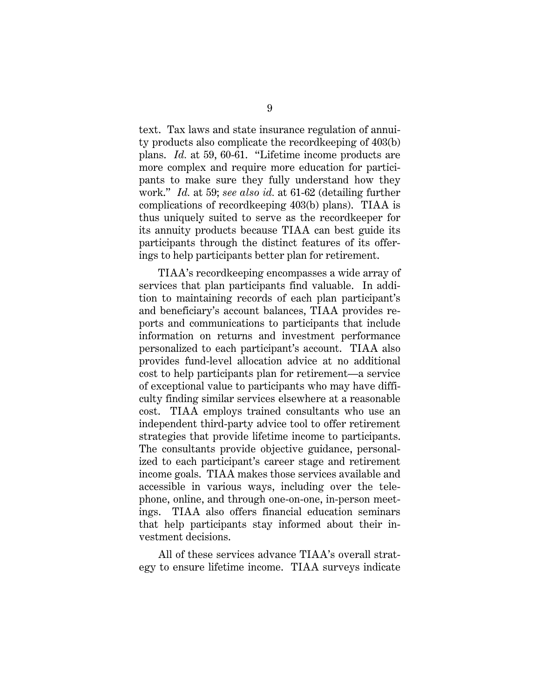text. Tax laws and state insurance regulation of annuity products also complicate the recordkeeping of 403(b) plans. *Id.* at 59, 60-61. "Lifetime income products are more complex and require more education for participants to make sure they fully understand how they work." *Id.* at 59; *see also id.* at 61-62 (detailing further complications of recordkeeping 403(b) plans). TIAA is thus uniquely suited to serve as the recordkeeper for its annuity products because TIAA can best guide its participants through the distinct features of its offerings to help participants better plan for retirement.

TIAA's recordkeeping encompasses a wide array of services that plan participants find valuable. In addition to maintaining records of each plan participant's and beneficiary's account balances, TIAA provides reports and communications to participants that include information on returns and investment performance personalized to each participant's account. TIAA also provides fund-level allocation advice at no additional cost to help participants plan for retirement—a service of exceptional value to participants who may have difficulty finding similar services elsewhere at a reasonable cost. TIAA employs trained consultants who use an independent third-party advice tool to offer retirement strategies that provide lifetime income to participants. The consultants provide objective guidance, personalized to each participant's career stage and retirement income goals. TIAA makes those services available and accessible in various ways, including over the telephone, online, and through one-on-one, in-person meetings. TIAA also offers financial education seminars that help participants stay informed about their investment decisions.

All of these services advance TIAA's overall strategy to ensure lifetime income. TIAA surveys indicate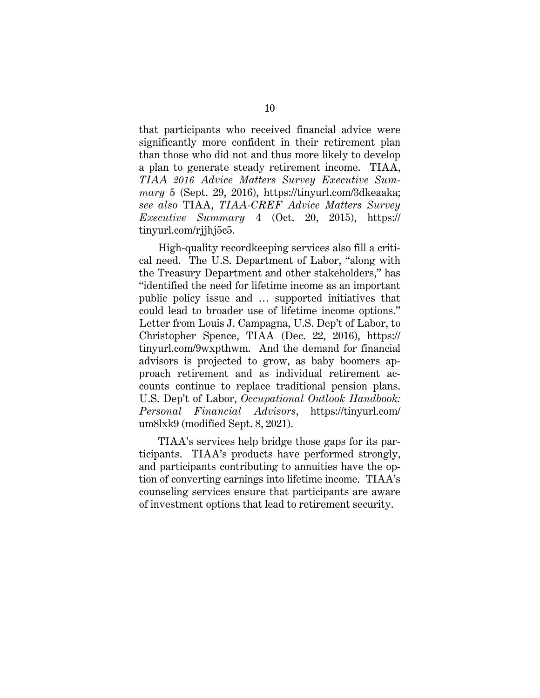that participants who received financial advice were significantly more confident in their retirement plan than those who did not and thus more likely to develop a plan to generate steady retirement income. TIAA, *TIAA 2016 Advice Matters Survey Executive Summary* 5 (Sept. 29, 2016), https://tinyurl.com/3dkeaaka; *see also* TIAA, *TIAA-CREF Advice Matters Survey Executive Summary* 4 (Oct. 20, 2015), https:// tinyurl.com/rjjhj5c5.

High-quality recordkeeping services also fill a critical need. The U.S. Department of Labor, "along with the Treasury Department and other stakeholders," has "identified the need for lifetime income as an important public policy issue and … supported initiatives that could lead to broader use of lifetime income options." Letter from Louis J. Campagna, U.S. Dep't of Labor, to Christopher Spence, TIAA (Dec. 22, 2016), https:// tinyurl.com/9wxpthwm. And the demand for financial advisors is projected to grow, as baby boomers approach retirement and as individual retirement accounts continue to replace traditional pension plans. U.S. Dep't of Labor, *Occupational Outlook Handbook: Personal Financial Advisors*, https://tinyurl.com/ um8lxk9 (modified Sept. 8, 2021).

TIAA's services help bridge those gaps for its participants. TIAA's products have performed strongly, and participants contributing to annuities have the option of converting earnings into lifetime income. TIAA's counseling services ensure that participants are aware of investment options that lead to retirement security.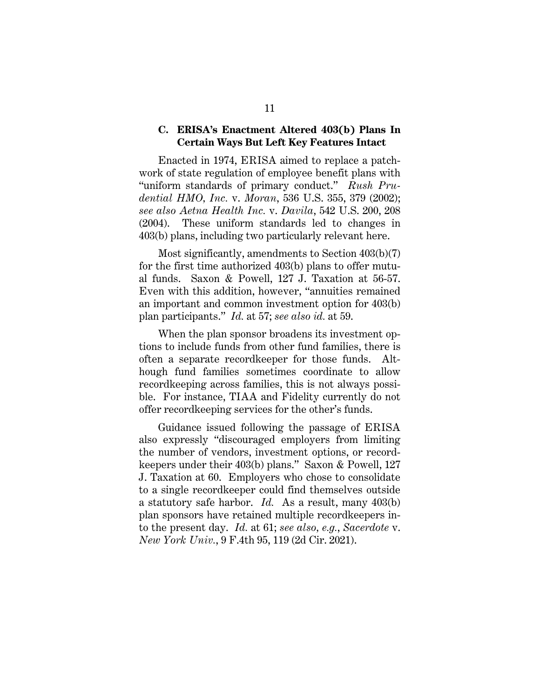#### **C. ERISA's Enactment Altered 403(b) Plans In Certain Ways But Left Key Features Intact**

Enacted in 1974, ERISA aimed to replace a patchwork of state regulation of employee benefit plans with "uniform standards of primary conduct." *Rush Prudential HMO, Inc.* v. *Moran*, 536 U.S. 355, 379 (2002); *see also Aetna Health Inc.* v. *Davila*, 542 U.S. 200, 208 (2004). These uniform standards led to changes in 403(b) plans, including two particularly relevant here.

Most significantly, amendments to Section 403(b)(7) for the first time authorized 403(b) plans to offer mutual funds. Saxon & Powell, 127 J. Taxation at 56-57. Even with this addition, however, "annuities remained an important and common investment option for 403(b) plan participants." *Id.* at 57; *see also id.* at 59.

When the plan sponsor broadens its investment options to include funds from other fund families, there is often a separate recordkeeper for those funds. Although fund families sometimes coordinate to allow recordkeeping across families, this is not always possible. For instance, TIAA and Fidelity currently do not offer recordkeeping services for the other's funds.

Guidance issued following the passage of ERISA also expressly "discouraged employers from limiting the number of vendors, investment options, or recordkeepers under their 403(b) plans." Saxon & Powell, 127 J. Taxation at 60. Employers who chose to consolidate to a single recordkeeper could find themselves outside a statutory safe harbor. *Id.* As a result, many 403(b) plan sponsors have retained multiple recordkeepers into the present day. *Id.* at 61; *see also, e.g.*, *Sacerdote* v. *New York Univ.*, 9 F.4th 95, 119 (2d Cir. 2021).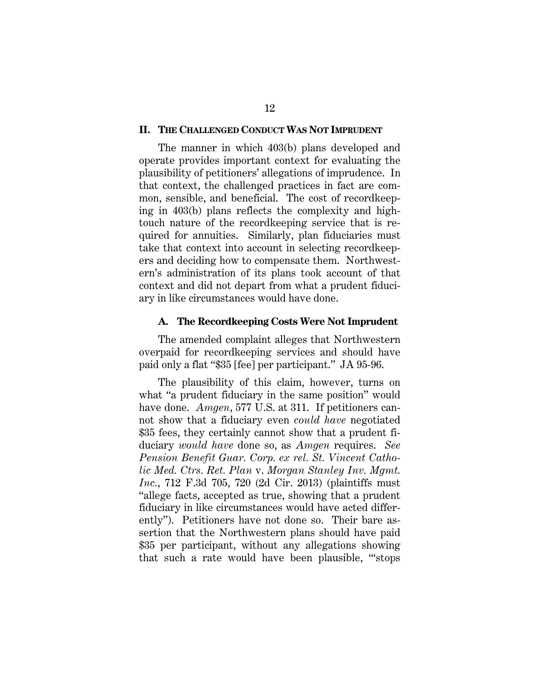#### **II. THE CHALLENGED CONDUCT WAS NOT IMPRUDENT**

The manner in which 403(b) plans developed and operate provides important context for evaluating the plausibility of petitioners' allegations of imprudence. In that context, the challenged practices in fact are common, sensible, and beneficial. The cost of recordkeeping in 403(b) plans reflects the complexity and hightouch nature of the recordkeeping service that is required for annuities. Similarly, plan fiduciaries must take that context into account in selecting recordkeepers and deciding how to compensate them. Northwestern's administration of its plans took account of that context and did not depart from what a prudent fiduciary in like circumstances would have done.

#### **A. The Recordkeeping Costs Were Not Imprudent**

The amended complaint alleges that Northwestern overpaid for recordkeeping services and should have paid only a flat "\$35 [fee] per participant." JA 95-96.

The plausibility of this claim, however, turns on what "a prudent fiduciary in the same position" would have done. *Amgen*, 577 U.S. at 311. If petitioners cannot show that a fiduciary even *could have* negotiated \$35 fees, they certainly cannot show that a prudent fiduciary *would have* done so, as *Amgen* requires. *See Pension Benefit Guar. Corp. ex rel. St. Vincent Catholic Med. Ctrs. Ret. Plan* v. *Morgan Stanley Inv. Mgmt. Inc.*, 712 F.3d 705, 720 (2d Cir. 2013) (plaintiffs must "allege facts, accepted as true, showing that a prudent fiduciary in like circumstances would have acted differently"). Petitioners have not done so. Their bare assertion that the Northwestern plans should have paid \$35 per participant, without any allegations showing that such a rate would have been plausible, "'stops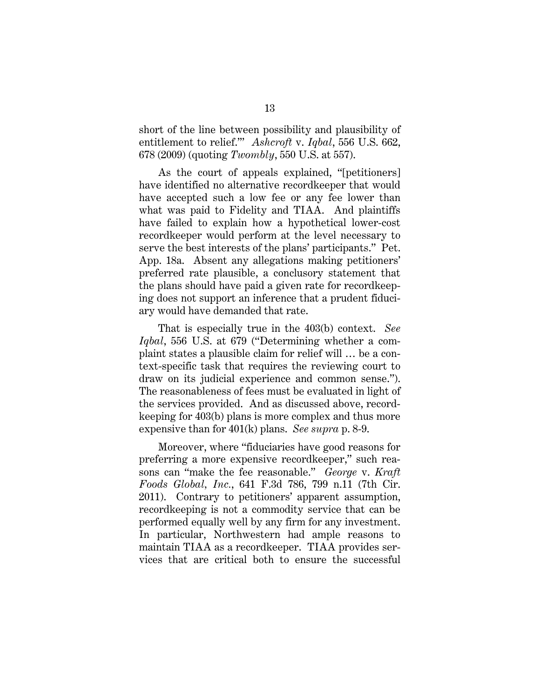short of the line between possibility and plausibility of entitlement to relief.'" *Ashcroft* v. *Iqbal*, 556 U.S. 662, 678 (2009) (quoting *Twombly*, 550 U.S. at 557).

As the court of appeals explained, "[petitioners] have identified no alternative recordkeeper that would have accepted such a low fee or any fee lower than what was paid to Fidelity and TIAA. And plaintiffs have failed to explain how a hypothetical lower-cost recordkeeper would perform at the level necessary to serve the best interests of the plans' participants." Pet. App. 18a. Absent any allegations making petitioners' preferred rate plausible, a conclusory statement that the plans should have paid a given rate for recordkeeping does not support an inference that a prudent fiduciary would have demanded that rate.

That is especially true in the 403(b) context. *See Iqbal*, 556 U.S. at 679 ("Determining whether a complaint states a plausible claim for relief will … be a context-specific task that requires the reviewing court to draw on its judicial experience and common sense."). The reasonableness of fees must be evaluated in light of the services provided. And as discussed above, recordkeeping for 403(b) plans is more complex and thus more expensive than for 401(k) plans. *See supra* p. 8-9.

Moreover, where "fiduciaries have good reasons for preferring a more expensive recordkeeper," such reasons can "make the fee reasonable." *George* v. *Kraft Foods Global, Inc.*, 641 F.3d 786, 799 n.11 (7th Cir. 2011). Contrary to petitioners' apparent assumption, recordkeeping is not a commodity service that can be performed equally well by any firm for any investment. In particular, Northwestern had ample reasons to maintain TIAA as a recordkeeper. TIAA provides services that are critical both to ensure the successful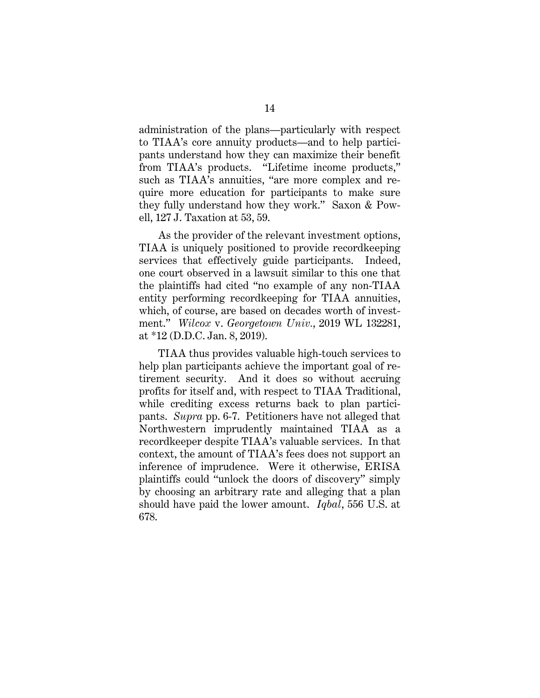administration of the plans—particularly with respect to TIAA's core annuity products—and to help participants understand how they can maximize their benefit from TIAA's products. "Lifetime income products," such as TIAA's annuities, "are more complex and require more education for participants to make sure they fully understand how they work." Saxon & Powell, 127 J. Taxation at 53, 59.

As the provider of the relevant investment options, TIAA is uniquely positioned to provide recordkeeping services that effectively guide participants. Indeed, one court observed in a lawsuit similar to this one that the plaintiffs had cited "no example of any non-TIAA entity performing recordkeeping for TIAA annuities, which, of course, are based on decades worth of investment." *Wilcox* v. *Georgetown Univ.*, 2019 WL 132281, at \*12 (D.D.C. Jan. 8, 2019).

TIAA thus provides valuable high-touch services to help plan participants achieve the important goal of retirement security. And it does so without accruing profits for itself and, with respect to TIAA Traditional, while crediting excess returns back to plan participants. *Supra* pp. 6-7. Petitioners have not alleged that Northwestern imprudently maintained TIAA as a recordkeeper despite TIAA's valuable services. In that context, the amount of TIAA's fees does not support an inference of imprudence. Were it otherwise, ERISA plaintiffs could "unlock the doors of discovery" simply by choosing an arbitrary rate and alleging that a plan should have paid the lower amount. *Iqbal*, 556 U.S. at 678.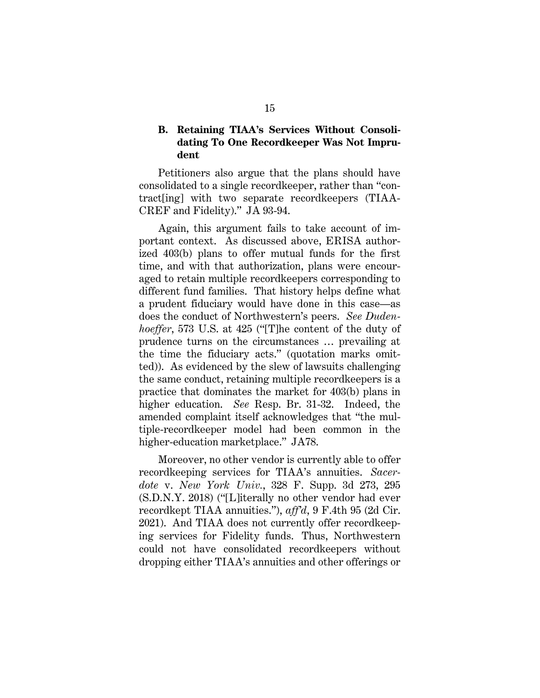### **B. Retaining TIAA's Services Without Consolidating To One Recordkeeper Was Not Imprudent**

Petitioners also argue that the plans should have consolidated to a single recordkeeper, rather than "contract[ing] with two separate recordkeepers (TIAA-CREF and Fidelity)." JA 93-94.

Again, this argument fails to take account of important context. As discussed above, ERISA authorized 403(b) plans to offer mutual funds for the first time, and with that authorization, plans were encouraged to retain multiple recordkeepers corresponding to different fund families. That history helps define what a prudent fiduciary would have done in this case—as does the conduct of Northwestern's peers. *See Dudenhoeffer*, 573 U.S. at 425 ("[T]he content of the duty of prudence turns on the circumstances … prevailing at the time the fiduciary acts." (quotation marks omitted)). As evidenced by the slew of lawsuits challenging the same conduct, retaining multiple recordkeepers is a practice that dominates the market for 403(b) plans in higher education. *See* Resp. Br. 31-32. Indeed, the amended complaint itself acknowledges that "the multiple-recordkeeper model had been common in the higher-education marketplace." JA78.

Moreover, no other vendor is currently able to offer recordkeeping services for TIAA's annuities. *Sacerdote* v. *New York Univ.*, 328 F. Supp. 3d 273, 295 (S.D.N.Y. 2018) ("[L]iterally no other vendor had ever recordkept TIAA annuities."), *aff'd*, 9 F.4th 95 (2d Cir. 2021). And TIAA does not currently offer recordkeeping services for Fidelity funds. Thus, Northwestern could not have consolidated recordkeepers without dropping either TIAA's annuities and other offerings or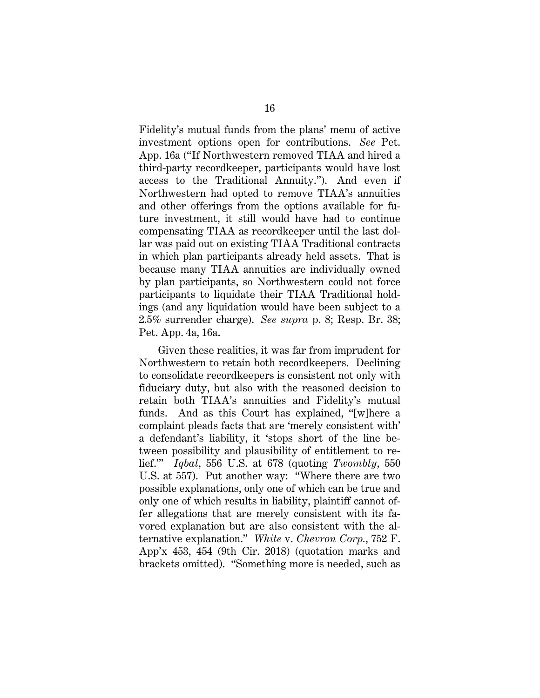Fidelity's mutual funds from the plans' menu of active investment options open for contributions. *See* Pet. App. 16a ("If Northwestern removed TIAA and hired a third-party recordkeeper, participants would have lost access to the Traditional Annuity."). And even if Northwestern had opted to remove TIAA's annuities and other offerings from the options available for future investment, it still would have had to continue compensating TIAA as recordkeeper until the last dollar was paid out on existing TIAA Traditional contracts in which plan participants already held assets. That is because many TIAA annuities are individually owned by plan participants, so Northwestern could not force participants to liquidate their TIAA Traditional holdings (and any liquidation would have been subject to a 2.5% surrender charge). *See supra* p. 8; Resp. Br. 38; Pet. App. 4a, 16a.

Given these realities, it was far from imprudent for Northwestern to retain both recordkeepers. Declining to consolidate recordkeepers is consistent not only with fiduciary duty, but also with the reasoned decision to retain both TIAA's annuities and Fidelity's mutual funds. And as this Court has explained, "[w]here a complaint pleads facts that are 'merely consistent with' a defendant's liability, it 'stops short of the line between possibility and plausibility of entitlement to relief.'" *Iqbal*, 556 U.S. at 678 (quoting *Twombly*, 550 U.S. at 557). Put another way: "Where there are two possible explanations, only one of which can be true and only one of which results in liability, plaintiff cannot offer allegations that are merely consistent with its favored explanation but are also consistent with the alternative explanation." *White* v. *Chevron Corp.*, 752 F. App'x 453, 454 (9th Cir. 2018) (quotation marks and brackets omitted). "Something more is needed, such as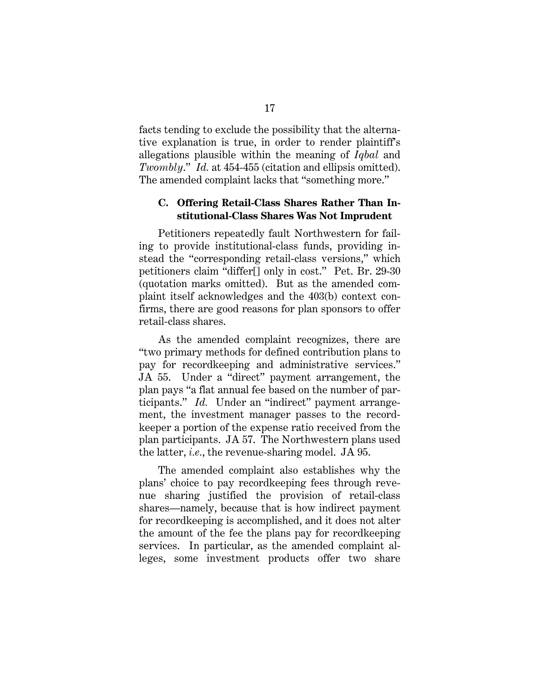facts tending to exclude the possibility that the alternative explanation is true, in order to render plaintiff's allegations plausible within the meaning of *Iqbal* and *Twombly*." *Id.* at 454-455 (citation and ellipsis omitted). The amended complaint lacks that "something more."

### **C. Offering Retail-Class Shares Rather Than Institutional-Class Shares Was Not Imprudent**

Petitioners repeatedly fault Northwestern for failing to provide institutional-class funds, providing instead the "corresponding retail-class versions," which petitioners claim "differ[] only in cost." Pet. Br. 29-30 (quotation marks omitted). But as the amended complaint itself acknowledges and the 403(b) context confirms, there are good reasons for plan sponsors to offer retail-class shares.

As the amended complaint recognizes, there are "two primary methods for defined contribution plans to pay for recordkeeping and administrative services." JA 55. Under a "direct" payment arrangement, the plan pays "a flat annual fee based on the number of participants." *Id.* Under an "indirect" payment arrangement, the investment manager passes to the recordkeeper a portion of the expense ratio received from the plan participants. JA 57. The Northwestern plans used the latter, *i.e.*, the revenue-sharing model. JA 95.

The amended complaint also establishes why the plans' choice to pay recordkeeping fees through revenue sharing justified the provision of retail-class shares—namely, because that is how indirect payment for recordkeeping is accomplished, and it does not alter the amount of the fee the plans pay for recordkeeping services. In particular, as the amended complaint alleges, some investment products offer two share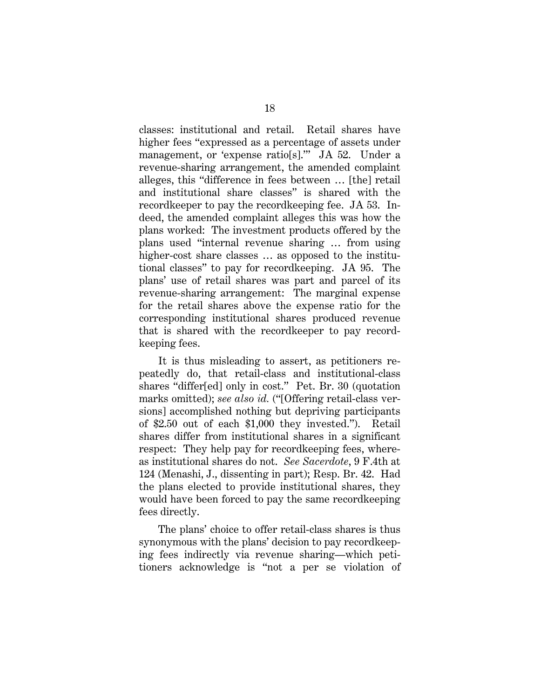classes: institutional and retail. Retail shares have higher fees "expressed as a percentage of assets under management, or 'expense ratio[s].'" JA 52. Under a revenue-sharing arrangement, the amended complaint alleges, this "difference in fees between … [the] retail and institutional share classes" is shared with the recordkeeper to pay the recordkeeping fee. JA 53. Indeed, the amended complaint alleges this was how the plans worked: The investment products offered by the plans used "internal revenue sharing … from using higher-cost share classes  $\ldots$  as opposed to the institutional classes" to pay for recordkeeping. JA 95. The plans' use of retail shares was part and parcel of its revenue-sharing arrangement: The marginal expense for the retail shares above the expense ratio for the corresponding institutional shares produced revenue that is shared with the recordkeeper to pay recordkeeping fees.

It is thus misleading to assert, as petitioners repeatedly do, that retail-class and institutional-class shares "differ[ed] only in cost." Pet. Br. 30 (quotation marks omitted); *see also id.* ("[Offering retail-class versions] accomplished nothing but depriving participants of \$2.50 out of each \$1,000 they invested."). Retail shares differ from institutional shares in a significant respect: They help pay for recordkeeping fees, whereas institutional shares do not. *See Sacerdote*, 9 F.4th at 124 (Menashi, J., dissenting in part); Resp. Br. 42. Had the plans elected to provide institutional shares, they would have been forced to pay the same recordkeeping fees directly.

The plans' choice to offer retail-class shares is thus synonymous with the plans' decision to pay recordkeeping fees indirectly via revenue sharing—which petitioners acknowledge is "not a per se violation of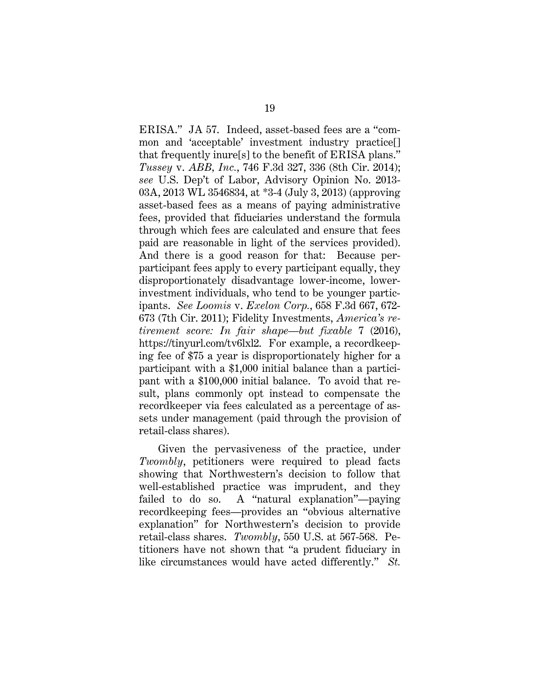ERISA." JA 57. Indeed, asset-based fees are a "common and 'acceptable' investment industry practice[] that frequently inure[s] to the benefit of ERISA plans." *Tussey* v. *ABB, Inc.*, 746 F.3d 327, 336 (8th Cir. 2014); *see* U.S. Dep't of Labor, Advisory Opinion No. 2013- 03A, 2013 WL 3546834, at \*3-4 (July 3, 2013) (approving asset-based fees as a means of paying administrative fees, provided that fiduciaries understand the formula through which fees are calculated and ensure that fees paid are reasonable in light of the services provided). And there is a good reason for that: Because perparticipant fees apply to every participant equally, they disproportionately disadvantage lower-income, lowerinvestment individuals, who tend to be younger participants. *See Loomis* v. *Exelon Corp.*, 658 F.3d 667, 672- 673 (7th Cir. 2011); Fidelity Investments, *America's retirement score: In fair shape—but fixable* 7 (2016), https://tinyurl.com/tv6lxl2. For example, a recordkeeping fee of \$75 a year is disproportionately higher for a participant with a \$1,000 initial balance than a participant with a \$100,000 initial balance. To avoid that result, plans commonly opt instead to compensate the recordkeeper via fees calculated as a percentage of assets under management (paid through the provision of retail-class shares).

Given the pervasiveness of the practice, under *Twombly*, petitioners were required to plead facts showing that Northwestern's decision to follow that well-established practice was imprudent, and they failed to do so. A "natural explanation"—paying recordkeeping fees—provides an "obvious alternative explanation" for Northwestern's decision to provide retail-class shares. *Twombly*, 550 U.S. at 567-568. Petitioners have not shown that "a prudent fiduciary in like circumstances would have acted differently." *St.*